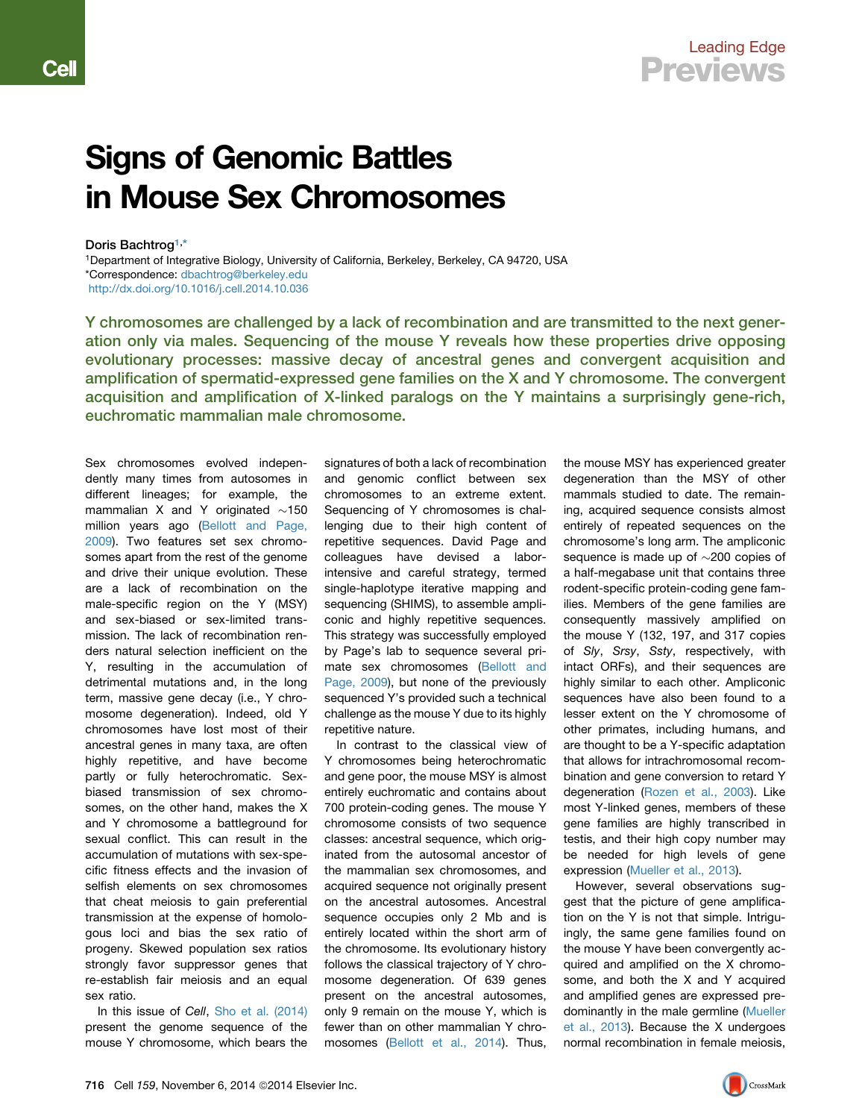# Signs of Genomic Battles in Mouse Sex Chromosomes

Doris Bachtrog<sup>[1,](#page-0-0)[\\*](#page-0-1)</sup>

<span id="page-0-1"></span><span id="page-0-0"></span>1Department of Integrative Biology, University of California, Berkeley, Berkeley, CA 94720, USA \*Correspondence: [dbachtrog@berkeley.edu](mailto:dbachtrog@berkeley.edu) <http://dx.doi.org/10.1016/j.cell.2014.10.036>

Y chromosomes are challenged by a lack of recombination and are transmitted to the next generation only via males. Sequencing of the mouse Y reveals how these properties drive opposing evolutionary processes: massive decay of ancestral genes and convergent acquisition and amplification of spermatid-expressed gene families on the X and Y chromosome. The convergent acquisition and amplification of X-linked paralogs on the Y maintains a surprisingly gene-rich, euchromatic mammalian male chromosome.

Sex chromosomes evolved independently many times from autosomes in different lineages; for example, the mammalian X and Y originated  $\sim$ 150 million years ago [\(Bellott and Page,](#page-1-0) [2009](#page-1-0)). Two features set sex chromosomes apart from the rest of the genome and drive their unique evolution. These are a lack of recombination on the male-specific region on the Y (MSY) and sex-biased or sex-limited transmission. The lack of recombination renders natural selection inefficient on the Y, resulting in the accumulation of detrimental mutations and, in the long term, massive gene decay (i.e., Y chromosome degeneration). Indeed, old Y chromosomes have lost most of their ancestral genes in many taxa, are often highly repetitive, and have become partly or fully heterochromatic. Sexbiased transmission of sex chromosomes, on the other hand, makes the X and Y chromosome a battleground for sexual conflict. This can result in the accumulation of mutations with sex-specific fitness effects and the invasion of selfish elements on sex chromosomes that cheat meiosis to gain preferential transmission at the expense of homologous loci and bias the sex ratio of progeny. Skewed population sex ratios strongly favor suppressor genes that re-establish fair meiosis and an equal sex ratio.

In this issue of *Cell*, [Sho et al. \(2014\)](#page-2-0) present the genome sequence of the mouse Y chromosome, which bears the signatures of both a lack of recombination and genomic conflict between sex chromosomes to an extreme extent. Sequencing of Y chromosomes is challenging due to their high content of repetitive sequences. David Page and colleagues have devised a laborintensive and careful strategy, termed single-haplotype iterative mapping and sequencing (SHIMS), to assemble ampliconic and highly repetitive sequences. This strategy was successfully employed by Page's lab to sequence several pri-mate sex chromosomes ([Bellott and](#page-1-0) [Page, 2009](#page-1-0)), but none of the previously sequenced Y's provided such a technical challenge as the mouse Y due to its highly repetitive nature.

In contrast to the classical view of Y chromosomes being heterochromatic and gene poor, the mouse MSY is almost entirely euchromatic and contains about 700 protein-coding genes. The mouse Y chromosome consists of two sequence classes: ancestral sequence, which originated from the autosomal ancestor of the mammalian sex chromosomes, and acquired sequence not originally present on the ancestral autosomes. Ancestral sequence occupies only 2 Mb and is entirely located within the short arm of the chromosome. Its evolutionary history follows the classical trajectory of Y chromosome degeneration. Of 639 genes present on the ancestral autosomes, only 9 remain on the mouse Y, which is fewer than on other mammalian Y chromosomes [\(Bellott et al., 2014](#page-1-1)). Thus,

the mouse MSY has experienced greater degeneration than the MSY of other mammals studied to date. The remaining, acquired sequence consists almost entirely of repeated sequences on the chromosome's long arm. The ampliconic sequence is made up of  $\sim$  200 copies of a half-megabase unit that contains three rodent-specific protein-coding gene families. Members of the gene families are consequently massively amplified on the mouse Y (132, 197, and 317 copies of *Sly*, *Srsy*, *Ssty*, respectively, with intact ORFs), and their sequences are highly similar to each other. Ampliconic sequences have also been found to a lesser extent on the Y chromosome of other primates, including humans, and are thought to be a Y-specific adaptation that allows for intrachromosomal recombination and gene conversion to retard Y degeneration ([Rozen et al., 2003](#page-2-1)). Like most Y-linked genes, members of these gene families are highly transcribed in testis, and their high copy number may be needed for high levels of gene expression ([Mueller et al., 2013\)](#page-2-2).

However, several observations suggest that the picture of gene amplification on the Y is not that simple. Intriguingly, the same gene families found on the mouse Y have been convergently acquired and amplified on the X chromosome, and both the X and Y acquired and amplified genes are expressed predominantly in the male germline [\(Mueller](#page-2-2) [et al., 2013](#page-2-2)). Because the X undergoes normal recombination in female meiosis,

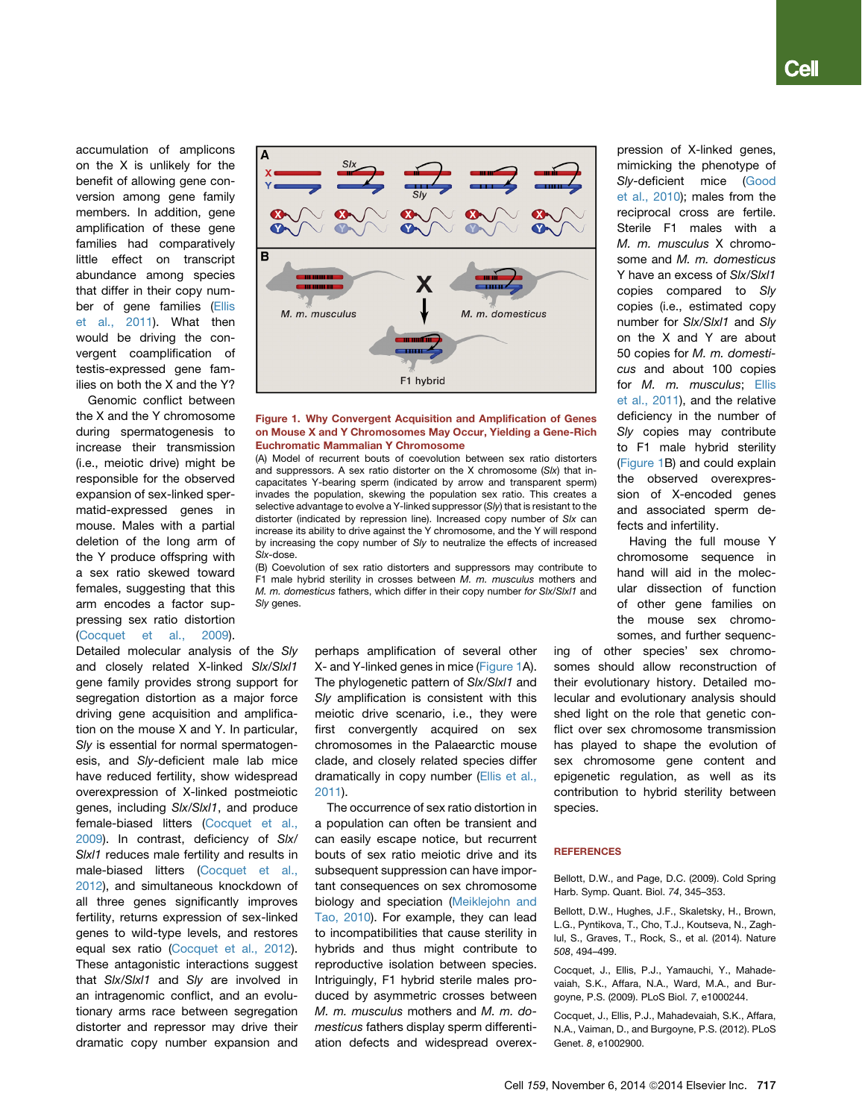accumulation of amplicons on the X is unlikely for the benefit of allowing gene conversion among gene family members. In addition, gene amplification of these gene families had comparatively little effect on transcript abundance among species that differ in their copy number of gene families ([Ellis](#page-2-3) [et al., 2011\)](#page-2-3). What then would be driving the convergent coamplification of testis-expressed gene families on both the X and the Y?

Genomic conflict between the X and the Y chromosome during spermatogenesis to increase their transmission (i.e., meiotic drive) might be responsible for the observed expansion of sex-linked spermatid-expressed genes in mouse. Males with a partial deletion of the long arm of the Y produce offspring with a sex ratio skewed toward females, suggesting that this arm encodes a factor suppressing sex ratio distortion [\(Cocquet et al., 2009](#page-1-2)).

Detailed molecular analysis of the *Sly* and closely related X-linked *Slx*/*Slxl1* gene family provides strong support for segregation distortion as a major force driving gene acquisition and amplification on the mouse X and Y. In particular, *Sly* is essential for normal spermatogenesis, and *Sly*-deficient male lab mice have reduced fertility, show widespread overexpression of X-linked postmeiotic genes, including *Slx*/*Slxl1*, and produce female-biased litters ([Cocquet et al.,](#page-1-2) [2009\)](#page-1-2). In contrast, deficiency of *Slx*/ *Slxl1* reduces male fertility and results in male-biased litters [\(Cocquet et al.,](#page-1-3) [2012\)](#page-1-3), and simultaneous knockdown of all three genes significantly improves fertility, returns expression of sex-linked genes to wild-type levels, and restores equal sex ratio [\(Cocquet et al., 2012\)](#page-1-3). These antagonistic interactions suggest that *Slx*/*Slxl1* and *Sly* are involved in an intragenomic conflict, and an evolutionary arms race between segregation distorter and repressor may drive their dramatic copy number expansion and

<span id="page-1-4"></span>

### Figure 1. Why Convergent Acquisition and Amplification of Genes on Mouse X and Y Chromosomes May Occur, Yielding a Gene-Rich Euchromatic Mammalian Y Chromosome

(A) Model of recurrent bouts of coevolution between sex ratio distorters and suppressors. A sex ratio distorter on the X chromosome (*Slx*) that incapacitates Y-bearing sperm (indicated by arrow and transparent sperm) invades the population, skewing the population sex ratio. This creates a selective advantage to evolve a Y-linked suppressor (*Sly*) that is resistant to the distorter (indicated by repression line). Increased copy number of *Slx* can increase its ability to drive against the Y chromosome, and the Y will respond by increasing the copy number of *Sly* to neutralize the effects of increased *Slx*-dose.

(B) Coevolution of sex ratio distorters and suppressors may contribute to F1 male hybrid sterility in crosses between *M. m. musculus* mothers and *M. m. domesticus* fathers, which differ in their copy number *for Slx/Slxl1* and *Sly* genes.

> perhaps amplification of several other X- and Y-linked genes in mice ([Figure 1A](#page-1-4)). The phylogenetic pattern of *Slx*/*Slxl1* and *Sly* amplification is consistent with this meiotic drive scenario, i.e., they were first convergently acquired on sex chromosomes in the Palaearctic mouse clade, and closely related species differ dramatically in copy number ([Ellis et al.,](#page-2-3) [2011](#page-2-3)).

The occurrence of sex ratio distortion in a population can often be transient and can easily escape notice, but recurrent bouts of sex ratio meiotic drive and its subsequent suppression can have important consequences on sex chromosome biology and speciation [\(Meiklejohn and](#page-2-4) [Tao, 2010\)](#page-2-4). For example, they can lead to incompatibilities that cause sterility in hybrids and thus might contribute to reproductive isolation between species. Intriguingly, F1 hybrid sterile males produced by asymmetric crosses between *M. m. musculus* mothers and *M. m. domesticus* fathers display sperm differentiation defects and widespread overex-

pression of X-linked genes, mimicking the phenotype of *Sly*-deficient mice [\(Good](#page-2-5) [et al., 2010](#page-2-5)); males from the reciprocal cross are fertile. Sterile F1 males with a *M. m. musculus* X chromosome and *M. m. domesticus* Y have an excess of *Slx*/*Slxl1* copies compared to *Sly* copies (i.e., estimated copy number for *Slx*/*Slxl1* and *Sly* on the X and Y are about 50 copies for *M. m. domesticus* and about 100 copies for *M. m. musculus*; [Ellis](#page-2-3) [et al., 2011\)](#page-2-3), and the relative deficiency in the number of *Sly* copies may contribute to F1 male hybrid sterility [\(Figure 1](#page-1-4)B) and could explain the observed overexpression of X-encoded genes and associated sperm defects and infertility.

Having the full mouse Y chromosome sequence in hand will aid in the molecular dissection of function of other gene families on the mouse sex chromosomes, and further sequenc-

ing of other species' sex chromosomes should allow reconstruction of their evolutionary history. Detailed molecular and evolutionary analysis should shed light on the role that genetic conflict over sex chromosome transmission has played to shape the evolution of sex chromosome gene content and epigenetic regulation, as well as its contribution to hybrid sterility between species.

#### <span id="page-1-0"></span>**REFERENCES**

<span id="page-1-1"></span>Bellott, D.W., and Page, D.C. (2009). Cold Spring Harb. Symp. Quant. Biol. *74*, 345–353.

Bellott, D.W., Hughes, J.F., Skaletsky, H., Brown, L.G., Pyntikova, T., Cho, T.J., Koutseva, N., Zaghlul, S., Graves, T., Rock, S., et al. (2014). Nature *508*, 494–499.

<span id="page-1-3"></span><span id="page-1-2"></span>Cocquet, J., Ellis, P.J., Yamauchi, Y., Mahadevaiah, S.K., Affara, N.A., Ward, M.A., and Burgoyne, P.S. (2009). PLoS Biol. *7*, e1000244.

Cocquet, J., Ellis, P.J., Mahadevaiah, S.K., Affara, N.A., Vaiman, D., and Burgoyne, P.S. (2012). PLoS Genet. *8*, e1002900.